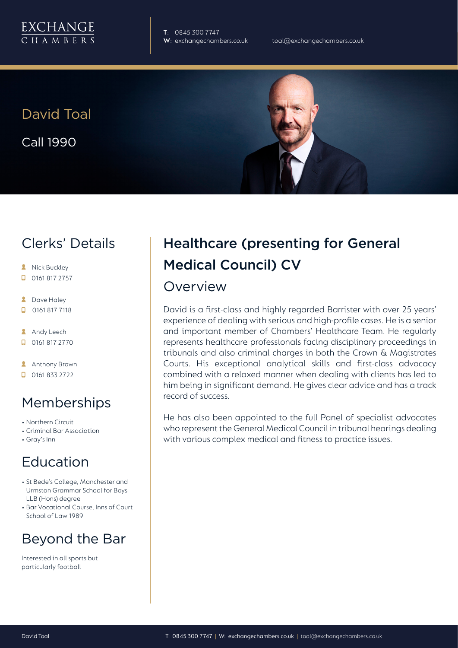

**T**: 0845 300 7747

David Toal Call 1990

## Clerks' Details

- **A** Nick Buckley
- $\Box$  0161 817 2757
- **2** Dave Haley
- $\Box$ 0161 817 7118
- **Andy Leech**
- 0161 817 2770
- **Anthony Brown**
- $\Box$  0161 833 2722

## Memberships

- Northern Circuit
- Criminal Bar Association
- Gray's Inn

### Education

- St Bede's College, Manchester and Urmston Grammar School for Boys LLB (Hons) degree
- Bar Vocational Course, Inns of Court School of Law 1989

## Beyond the Bar

Interested in all sports but particularly football

# Healthcare (presenting for General Medical Council) CV

#### Overview

David is a first-class and highly regarded Barrister with over 25 years' experience of dealing with serious and high-profile cases. He is a senior and important member of Chambers' Healthcare Team. He regularly represents healthcare professionals facing disciplinary proceedings in tribunals and also criminal charges in both the Crown & Magistrates Courts. His exceptional analytical skills and first-class advocacy combined with a relaxed manner when dealing with clients has led to him being in significant demand. He gives clear advice and has a track record of success.

He has also been appointed to the full Panel of specialist advocates who represent the General Medical Council in tribunal hearings dealing with various complex medical and fitness to practice issues.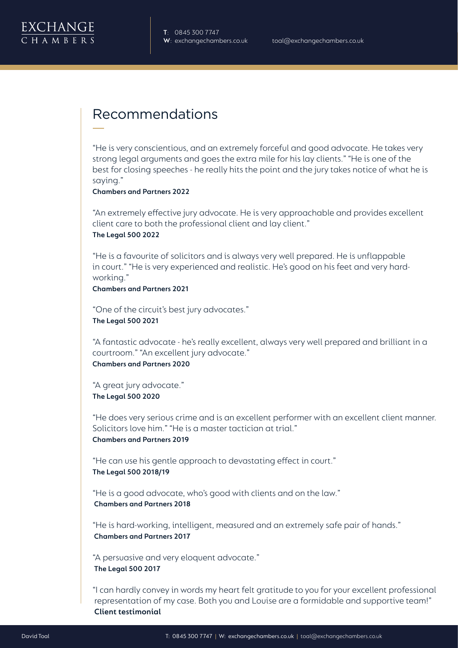

## Recommendations

"He is very conscientious, and an extremely forceful and good advocate. He takes very strong legal arguments and goes the extra mile for his lay clients." "He is one of the best for closing speeches - he really hits the point and the jury takes notice of what he is saying."

**Chambers and Partners 2022**

"An extremely effective jury advocate. He is very approachable and provides excellent client care to both the professional client and lay client." **The Legal 500 2022**

"He is a favourite of solicitors and is always very well prepared. He is unflappable in court." "He is very experienced and realistic. He's good on his feet and very hardworking."

**Chambers and Partners 2021**

"One of the circuit's best jury advocates." **The Legal 500 2021**

"A fantastic advocate - he's really excellent, always very well prepared and brilliant in a courtroom." "An excellent jury advocate." **Chambers and Partners 2020**

"A great jury advocate." **The Legal 500 2020**

"He does very serious crime and is an excellent performer with an excellent client manner. Solicitors love him." "He is a master tactician at trial." **Chambers and Partners 2019**

"He can use his gentle approach to devastating effect in court." **The Legal 500 2018/19** 

"He is a good advocate, who's good with clients and on the law." **Chambers and Partners 2018**

"He is hard-working, intelligent, measured and an extremely safe pair of hands." **Chambers and Partners 2017**

"A persuasive and very eloquent advocate." **The Legal 500 2017**

"I can hardly convey in words my heart felt gratitude to you for your excellent professional representation of my case. Both you and Louise are a formidable and supportive team!"  **Client testimonial**